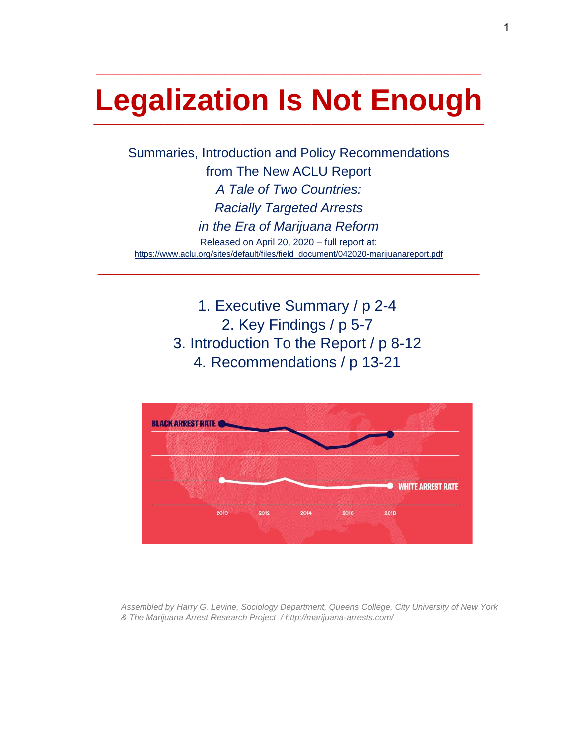# **Legalization Is Not Enough**  \_\_\_\_\_\_\_\_\_\_\_\_\_\_\_\_\_\_\_\_\_\_\_\_\_\_\_\_\_\_\_\_\_\_\_\_\_\_\_\_\_\_\_\_\_\_\_\_\_\_\_\_\_\_\_\_\_\_\_\_\_\_\_\_\_\_\_\_\_\_\_\_\_\_\_\_\_\_\_\_\_\_\_\_\_\_\_\_\_\_\_\_\_

**\_\_\_\_\_\_\_\_\_\_\_\_\_\_\_\_\_\_\_\_\_\_\_\_\_\_\_\_\_\_\_\_\_\_\_\_\_\_\_\_\_\_\_\_\_\_\_\_\_\_\_\_\_\_\_\_\_\_\_\_\_\_\_\_\_\_\_\_\_\_\_\_\_\_\_\_\_\_\_\_\_\_\_\_\_\_\_\_\_\_\_\_\_\_\_\_\_\_\_\_\_\_\_\_\_** 

Summaries, Introduction and Policy Recommendations from The New ACLU Report *A Tale of Two Countries: Racially Targeted Arrests in the Era of Marijuana Reform* Released on April 20, 2020 – full report at: https://www.aclu.org/sites/default/files/field\_document/042020-marijuanareport.pdf

\_\_\_\_\_\_\_\_\_\_\_\_\_\_\_\_\_\_\_\_\_\_\_\_\_\_\_\_\_\_\_\_\_\_\_\_\_\_\_\_\_\_\_\_\_\_\_\_\_\_\_\_\_\_\_\_\_\_\_\_\_\_\_\_\_\_\_\_\_\_\_\_\_\_\_\_\_\_\_\_\_\_\_\_\_\_\_\_\_\_\_

1. Executive Summary / p 2-4 2. Key Findings / p 5-7 3. Introduction To the Report / p 8-12 4. Recommendations / p 13-21



*Assembled by Harry G. Levine, Sociology Department, Queens College, City University of New York & The Marijuana Arrest Research Project / http://marijuana-arrests.com/*

 $\overline{a}$  , and the contribution of the contribution of the contribution of the contribution of the contribution of the contribution of the contribution of the contribution of the contribution of the contribution of the co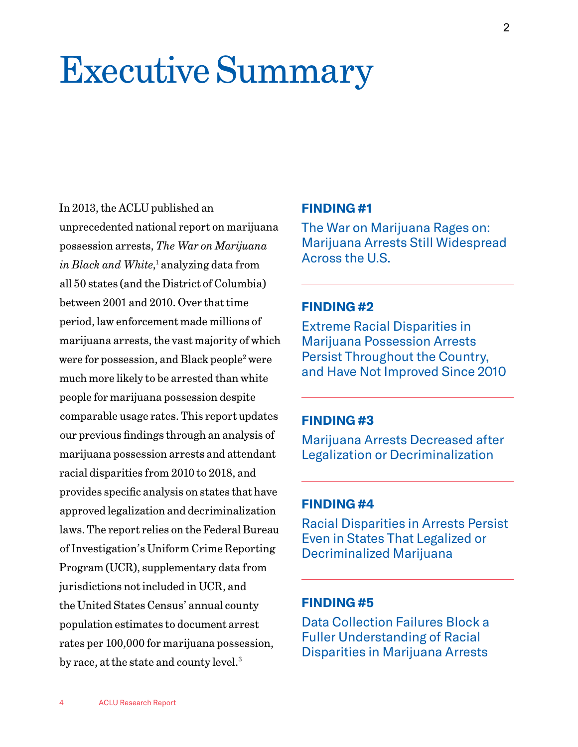# Executive Summary

In 2013, the ACLU published an unprecedented national report on marijuana possession arrests, *The War on Marijuana*  in Black and White,<sup>1</sup> analyzing data from all 50 states (and the District of Columbia) between 2001 and 2010. Over that time period, law enforcement made millions of marijuana arrests, the vast majority of which were for possession, and Black people<sup>2</sup> were much more likely to be arrested than white people for marijuana possession despite comparable usage rates. This report updates our previous findings through an analysis of marijuana possession arrests and attendant racial disparities from 2010 to 2018, and provides specific analysis on states that have approved legalization and decriminalization laws. The report relies on the Federal Bureau of Investigation's Uniform Crime Reporting Program (UCR), supplementary data from jurisdictions not included in UCR, and the United States Census' annual county population estimates to document arrest rates per 100,000 for marijuana possession, by race, at the state and county level.<sup>3</sup>

#### **FINDING #1**

The War on Marijuana Rages on: Marijuana Arrests Still Widespread Across the U.S.

#### **FINDING #2**

Extreme Racial Disparities in Marijuana Possession Arrests Persist Throughout the Country, and Have Not Improved Since 2010

## **FINDING #3**

Marijuana Arrests Decreased after Legalization or Decriminalization

#### **FINDING #4**

Racial Disparities in Arrests Persist Even in States That Legalized or Decriminalized Marijuana

#### **FINDING #5**

Data Collection Failures Block a Fuller Understanding of Racial Disparities in Marijuana Arrests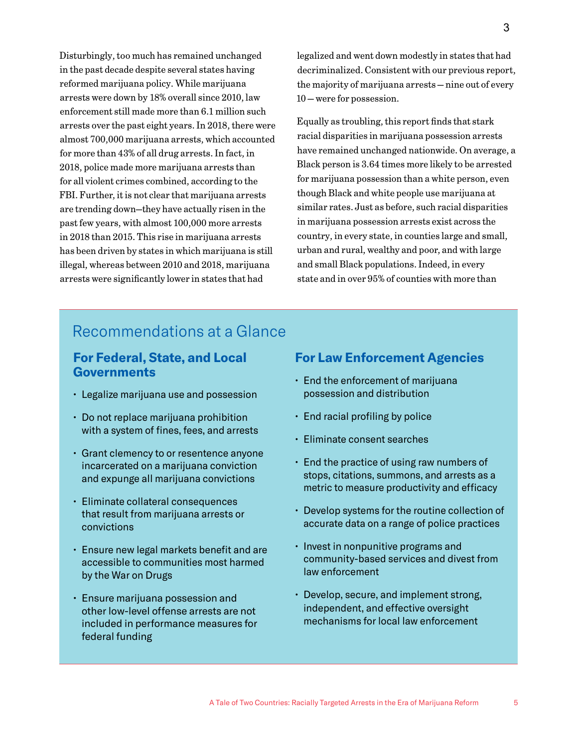Disturbingly, too much has remained unchanged in the past decade despite several states having reformed marijuana policy. While marijuana arrests were down by 18% overall since 2010, law enforcement still made more than 6.1 million such arrests over the past eight years. In 2018, there were almost 700,000 marijuana arrests, which accounted for more than 43% of all drug arrests. In fact, in 2018, police made more marijuana arrests than for all violent crimes combined, according to the FBI. Further, it is not clear that marijuana arrests are trending down—they have actually risen in the past few years, with almost 100,000 more arrests in 2018 than 2015. This rise in marijuana arrests has been driven by states in which marijuana is still illegal, whereas between 2010 and 2018, marijuana arrests were significantly lower in states that had

legalized and went down modestly in states that had decriminalized. Consistent with our previous report, the majority of marijuana arrests — nine out of every 10 — were for possession.

Equally as troubling, this report finds that stark racial disparities in marijuana possession arrests have remained unchanged nationwide. On average, a Black person is 3.64 times more likely to be arrested for marijuana possession than a white person, even though Black and white people use marijuana at similar rates. Just as before, such racial disparities in marijuana possession arrests exist across the country, in every state, in counties large and small, urban and rural, wealthy and poor, and with large and small Black populations. Indeed, in every state and in over 95% of counties with more than

# Recommendations at a Glance

## **For Federal, State, and Local Governments**

- Legalize marijuana use and possession
- Do not replace marijuana prohibition with a system of fines, fees, and arrests
- Grant clemency to or resentence anyone incarcerated on a marijuana conviction and expunge all marijuana convictions
- Eliminate collateral consequences that result from marijuana arrests or convictions
- Ensure new legal markets benefit and are accessible to communities most harmed by the War on Drugs
- Ensure marijuana possession and other low-level offense arrests are not included in performance measures for federal funding

### **For Law Enforcement Agencies**

- End the enforcement of marijuana possession and distribution
- End racial profiling by police
- Eliminate consent searches
- End the practice of using raw numbers of stops, citations, summons, and arrests as a metric to measure productivity and efficacy
- Develop systems for the routine collection of accurate data on a range of police practices
- Invest in nonpunitive programs and community-based services and divest from law enforcement
- Develop, secure, and implement strong, independent, and effective oversight mechanisms for local law enforcement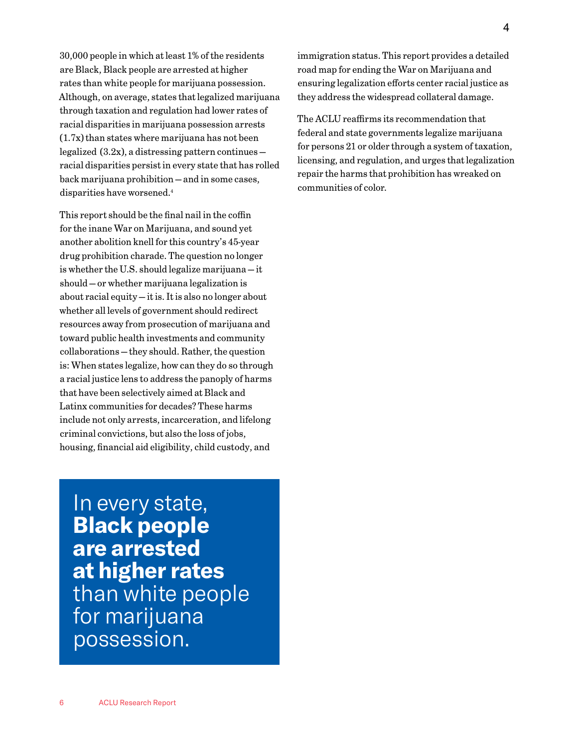30,000 people in which at least 1% of the residents are Black, Black people are arrested at higher rates than white people for marijuana possession. Although, on average, states that legalized marijuana through taxation and regulation had lower rates of racial disparities in marijuana possession arrests (1.7x) than states where marijuana has not been legalized (3.2x), a distressing pattern continues racial disparities persist in every state that has rolled back marijuana prohibition — and in some cases, disparities have worsened.4

This report should be the final nail in the coffin for the inane War on Marijuana, and sound yet another abolition knell for this country's 45-year drug prohibition charade. The question no longer is whether the U.S. should legalize marijuana — it should — or whether marijuana legalization is about racial equity — it is. It is also no longer about whether all levels of government should redirect resources away from prosecution of marijuana and toward public health investments and community collaborations — they should. Rather, the question is: When states legalize, how can they do so through a racial justice lens to address the panoply of harms that have been selectively aimed at Black and Latinx communities for decades? These harms include not only arrests, incarceration, and lifelong criminal convictions, but also the loss of jobs, housing, financial aid eligibility, child custody, and

In every state, **Black people are arrested at higher rates**  than white people for marijuana possession.

immigration status. This report provides a detailed road map for ending the War on Marijuana and ensuring legalization efforts center racial justice as they address the widespread collateral damage.

The ACLU reaffirms its recommendation that federal and state governments legalize marijuana for persons 21 or older through a system of taxation, licensing, and regulation, and urges that legalization repair the harms that prohibition has wreaked on communities of color.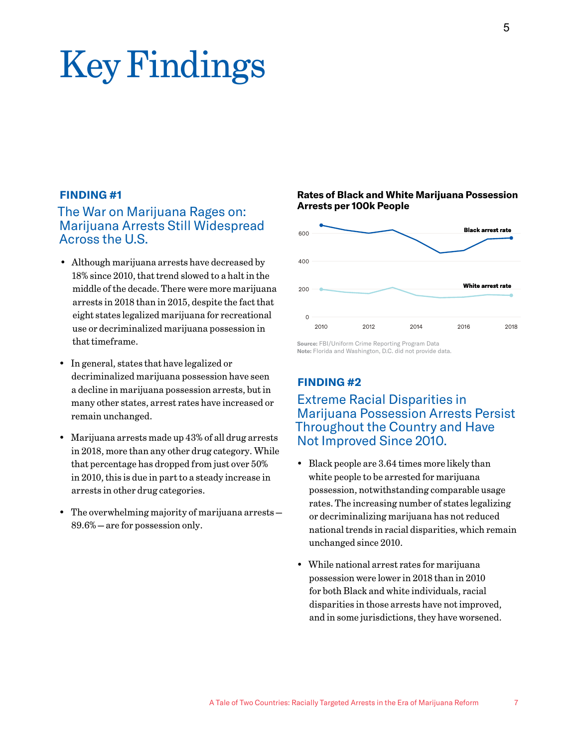# Key Findings

#### **FINDING #1**

## The War on Marijuana Rages on: Marijuana Arrests Still Widespread Across the U.S.

- Although marijuana arrests have decreased by 18% since 2010, that trend slowed to a halt in the middle of the decade. There were more marijuana arrests in 2018 than in 2015, despite the fact that eight states legalized marijuana for recreational use or decriminalized marijuana possession in that timeframe.
- In general, states that have legalized or decriminalized marijuana possession have seen a decline in marijuana possession arrests, but in many other states, arrest rates have increased or remain unchanged.
- Marijuana arrests made up 43% of all drug arrests in 2018, more than any other drug category. While that percentage has dropped from just over 50% in 2010, this is due in part to a steady increase in arrests in other drug categories.
- The overwhelming majority of marijuana arrests 89.6% — are for possession only.

#### **Rates of Black and White Marijuana Possession Arrests per 100k People**



**Source:** FBI/Uniform Crime Reporting Program Data **Note:** Florida and Washington, D.C. did not provide data.

#### **FINDING #2**

## Extreme Racial Disparities in Marijuana Possession Arrests Persist Throughout the Country and Have Not Improved Since 2010.

- Black people are 3.64 times more likely than white people to be arrested for marijuana possession, notwithstanding comparable usage rates. The increasing number of states legalizing or decriminalizing marijuana has not reduced national trends in racial disparities, which remain unchanged since 2010.
- While national arrest rates for marijuana possession were lower in 2018 than in 2010 for both Black and white individuals, racial disparities in those arrests have not improved, and in some jurisdictions, they have worsened.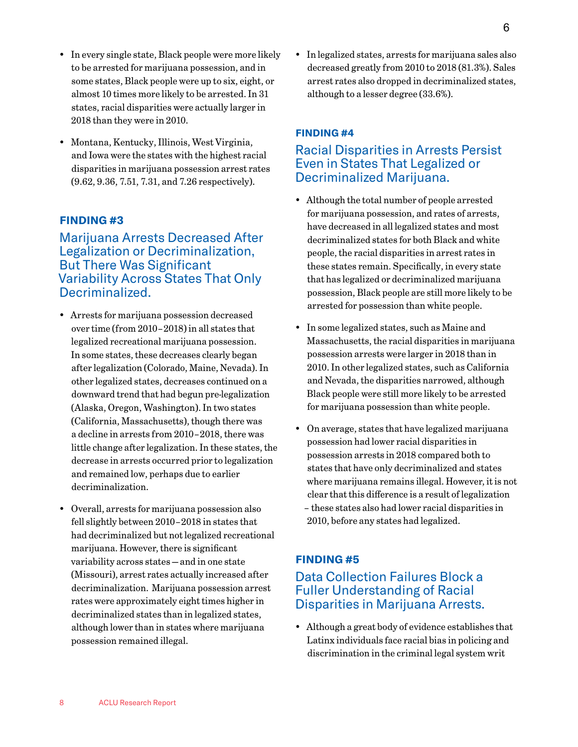- In every single state, Black people were more likely to be arrested for marijuana possession, and in some states, Black people were up to six, eight, or almost 10 times more likely to be arrested. In 31 states, racial disparities were actually larger in 2018 than they were in 2010.
- Montana, Kentucky, Illinois, West Virginia, and Iowa were the states with the highest racial disparities in marijuana possession arrest rates (9.62, 9.36, 7.51, 7.31, and 7.26 respectively).

#### **FINDING #3**

## Marijuana Arrests Decreased After Legalization or Decriminalization, But There Was Significant Variability Across States That Only Decriminalized.

- Arrests for marijuana possession decreased over time (from 2010–2018) in all states that legalized recreational marijuana possession. In some states, these decreases clearly began after legalization (Colorado, Maine, Nevada). In other legalized states, decreases continued on a downward trend that had begun pre-legalization (Alaska, Oregon, Washington). In two states (California, Massachusetts), though there was a decline in arrests from 2010–2018, there was little change after legalization. In these states, the decrease in arrests occurred prior to legalization and remained low, perhaps due to earlier decriminalization.
- Overall, arrests for marijuana possession also fell slightly between 2010–2018 in states that had decriminalized but not legalized recreational marijuana. However, there is significant variability across states — and in one state (Missouri), arrest rates actually increased after decriminalization. Marijuana possession arrest rates were approximately eight times higher in decriminalized states than in legalized states, although lower than in states where marijuana possession remained illegal.

• In legalized states, arrests for marijuana sales also decreased greatly from 2010 to 2018 (81.3%). Sales arrest rates also dropped in decriminalized states, although to a lesser degree (33.6%).

#### **FINDING #4**

## Racial Disparities in Arrests Persist Even in States That Legalized or Decriminalized Marijuana.

- Although the total number of people arrested for marijuana possession, and rates of arrests, have decreased in all legalized states and most decriminalized states for both Black and white people, the racial disparities in arrest rates in these states remain. Specifically, in every state that has legalized or decriminalized marijuana possession, Black people are still more likely to be arrested for possession than white people.
- In some legalized states, such as Maine and Massachusetts, the racial disparities in marijuana possession arrests were larger in 2018 than in 2010. In other legalized states, such as California and Nevada, the disparities narrowed, although Black people were still more likely to be arrested for marijuana possession than white people.
- On average, states that have legalized marijuana possession had lower racial disparities in possession arrests in 2018 compared both to states that have only decriminalized and states where marijuana remains illegal. However, it is not clear that this difference is a result of legalization – these states also had lower racial disparities in 2010, before any states had legalized.

#### **FINDING #5**

### Data Collection Failures Block a Fuller Understanding of Racial Disparities in Marijuana Arrests.

• Although a great body of evidence establishes that Latinx individuals face racial bias in policing and discrimination in the criminal legal system writ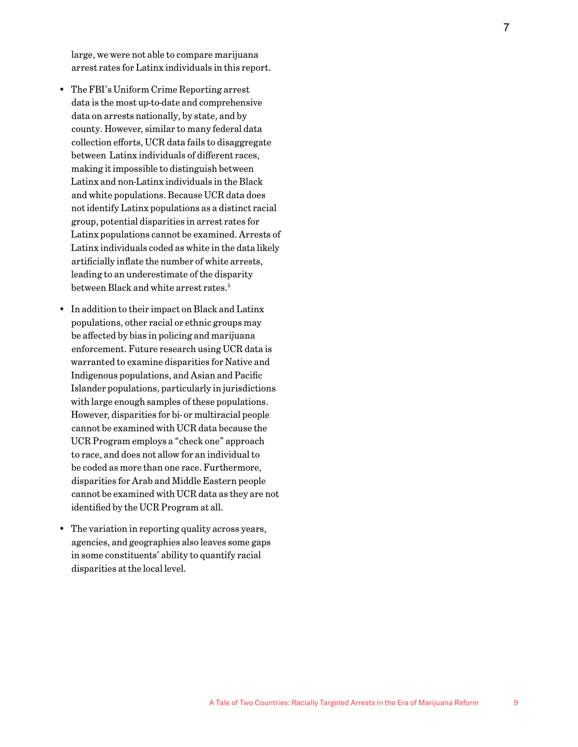large, we were not able to compare marijuana arrest rates for Latinx individuals in this report.

- The FBI's Uniform Crime Reporting arrest data is the most up-to-date and comprehensive data on arrests nationally, by state, and by county. However, similar to many federal data collection efforts, UCR data fails to disaggregate between Latinx individuals of different races, making it impossible to distinguish between Latinx and non-Latinx individuals in the Black and white populations. Because UCR data does not identify Latinx populations as a distinct racial group, potential disparities in arrest rates for Latinx populations cannot be examined. Arrests of Latinx individuals coded as white in the data likely artificially inflate the number of white arrests, leading to an underestimate of the disparity between Black and white arrest rates. 5
- In addition to their impact on Black and Latinx populations, other racial or ethnic groups may be affected by bias in policing and marijuana enforcement. Future research using UCR data is warranted to examine disparities for Native and Indigenous populations, and Asian and Pacific Islander populations, particularly in jurisdictions with large enough samples of these populations. However, disparities for bi- or multiracial people cannot be examined with UCR data because the UCR Program employs a "check one" approach to race, and does not allow for an individual to be coded as more than one race. Furthermore, disparities for Arab and Middle Eastern people cannot be examined with UCR data as they are not identified by the UCR Program at all.
- The variation in reporting quality across years, agencies, and geographies also leaves some gaps in some constituents' ability to quantify racial disparities at the local level.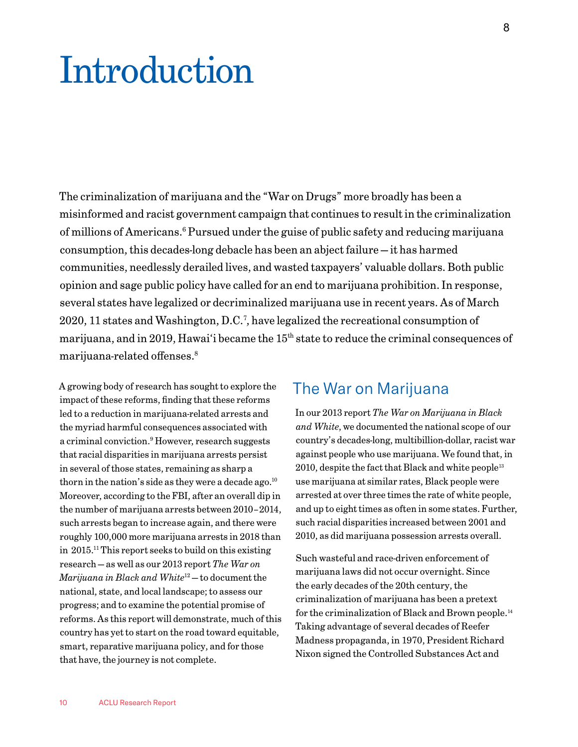# Introduction

The criminalization of marijuana and the "War on Drugs" more broadly has been a misinformed and racist government campaign that continues to result in the criminalization of millions of Americans.<sup>6</sup> Pursued under the guise of public safety and reducing marijuana consumption, this decades-long debacle has been an abject failure — it has harmed communities, needlessly derailed lives, and wasted taxpayers' valuable dollars. Both public opinion and sage public policy have called for an end to marijuana prohibition. In response, several states have legalized or decriminalized marijuana use in recent years. As of March 2020, 11 states and Washington, D.C.7 , have legalized the recreational consumption of marijuana, and in 2019, Hawai'i became the 15<sup>th</sup> state to reduce the criminal consequences of marijuana-related offenses.8

A growing body of research has sought to explore the impact of these reforms, finding that these reforms led to a reduction in marijuana-related arrests and the myriad harmful consequences associated with a criminal conviction.<sup>9</sup> However, research suggests that racial disparities in marijuana arrests persist in several of those states, remaining as sharp a thorn in the nation's side as they were a decade ago. $^{10}$ Moreover, according to the FBI, after an overall dip in the number of marijuana arrests between 2010–2014, such arrests began to increase again, and there were roughly 100,000 more marijuana arrests in 2018 than in 2015.11 This report seeks to build on this existing research — as well as our 2013 report *The War on Marijuana in Black and White*12 — to document the national, state, and local landscape; to assess our progress; and to examine the potential promise of reforms. As this report will demonstrate, much of this country has yet to start on the road toward equitable, smart, reparative marijuana policy, and for those that have, the journey is not complete.

## The War on Marijuana

In our 2013 report *The War on Marijuana in Black and White*, we documented the national scope of our country's decades-long, multibillion-dollar, racist war against people who use marijuana. We found that, in  $2010$ , despite the fact that Black and white people<sup>13</sup> use marijuana at similar rates, Black people were arrested at over three times the rate of white people, and up to eight times as often in some states. Further, such racial disparities increased between 2001 and 2010, as did marijuana possession arrests overall.

Such wasteful and race-driven enforcement of marijuana laws did not occur overnight. Since the early decades of the 20th century, the criminalization of marijuana has been a pretext for the criminalization of Black and Brown people.14 Taking advantage of several decades of Reefer Madness propaganda, in 1970, President Richard Nixon signed the Controlled Substances Act and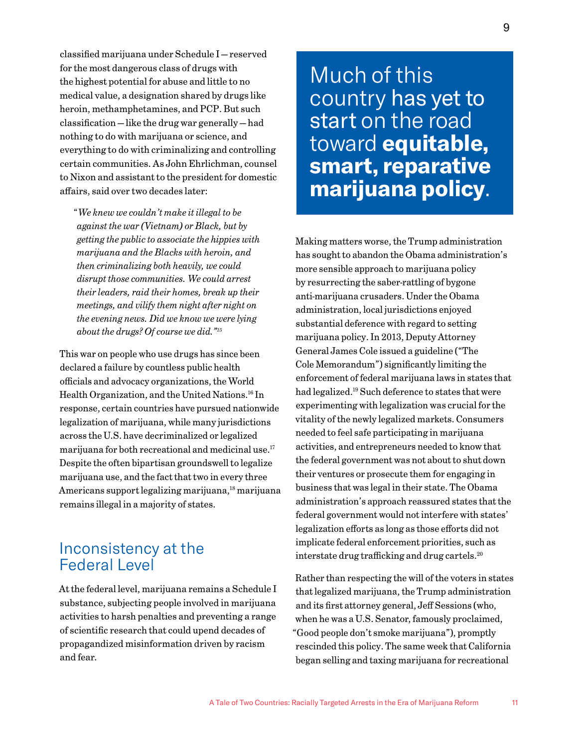classified marijuana under Schedule I — reserved for the most dangerous class of drugs with the highest potential for abuse and little to no medical value, a designation shared by drugs like heroin, methamphetamines, and PCP. But such classification — like the drug war generally — had nothing to do with marijuana or science, and everything to do with criminalizing and controlling certain communities. As John Ehrlichman, counsel to Nixon and assistant to the president for domestic affairs, said over two decades later:

"*We knew we couldn't make it illegal to be against the war (Vietnam) or Black, but by getting the public to associate the hippies with marijuana and the Blacks with heroin, and then criminalizing both heavily, we could disrupt those communities. We could arrest their leaders, raid their homes, break up their meetings, and vilify them night after night on the evening news. Did we know we were lying about the drugs? Of course we did."15*

This war on people who use drugs has since been declared a failure by countless public health officials and advocacy organizations, the World Health Organization, and the United Nations.16 In response, certain countries have pursued nationwide legalization of marijuana, while many jurisdictions across the U.S. have decriminalized or legalized marijuana for both recreational and medicinal use.17 Despite the often bipartisan groundswell to legalize marijuana use, and the fact that two in every three Americans support legalizing marijuana,18 marijuana remains illegal in a majority of states.

## Inconsistency at the Federal Level

At the federal level, marijuana remains a Schedule I substance, subjecting people involved in marijuana activities to harsh penalties and preventing a range of scientific research that could upend decades of propagandized misinformation driven by racism and fear.

Much of this country has yet to start on the road toward **equitable, smart, reparative marijuana policy**.

Making matters worse, the Trump administration has sought to abandon the Obama administration's more sensible approach to marijuana policy by resurrecting the saber-rattling of bygone anti-marijuana crusaders. Under the Obama administration, local jurisdictions enjoyed substantial deference with regard to setting marijuana policy. In 2013, Deputy Attorney General James Cole issued a guideline ("The Cole Memorandum") significantly limiting the enforcement of federal marijuana laws in states that had legalized.19 Such deference to states that were experimenting with legalization was crucial for the vitality of the newly legalized markets. Consumers needed to feel safe participating in marijuana activities, and entrepreneurs needed to know that the federal government was not about to shut down their ventures or prosecute them for engaging in business that was legal in their state. The Obama administration's approach reassured states that the federal government would not interfere with states' legalization efforts as long as those efforts did not implicate federal enforcement priorities, such as interstate drug trafficking and drug cartels.20

Rather than respecting the will of the voters in states that legalized marijuana, the Trump administration and its first attorney general, Jeff Sessions (who, when he was a U.S. Senator, famously proclaimed, "Good people don't smoke marijuana"), promptly rescinded this policy. The same week that California began selling and taxing marijuana for recreational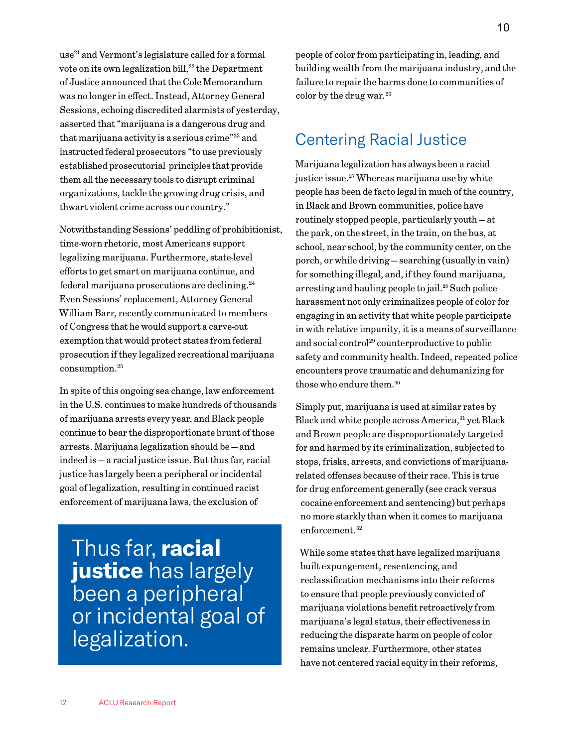use<sup>21</sup> and Vermont's legislature called for a formal vote on its own legalization bill, $^{22}$  the Department of Justice announced that the Cole Memorandum was no longer in effect. Instead, Attorney General Sessions, echoing discredited alarmists of yesterday, asserted that "marijuana is a dangerous drug and that marijuana activity is a serious crime"23 and instructed federal prosecutors "to use previously established prosecutorial principles that provide them all the necessary tools to disrupt criminal organizations, tackle the growing drug crisis, and thwart violent crime across our country."

Notwithstanding Sessions' peddling of prohibitionist, time-worn rhetoric, most Americans support legalizing marijuana. Furthermore, state-level efforts to get smart on marijuana continue, and federal marijuana prosecutions are declining.<sup>24</sup> Even Sessions' replacement, Attorney General William Barr, recently communicated to members of Congress that he would support a carve-out exemption that would protect states from federal prosecution if they legalized recreational marijuana consumption.25

In spite of this ongoing sea change, law enforcement in the U.S. continues to make hundreds of thousands of marijuana arrests every year, and Black people continue to bear the disproportionate brunt of those arrests. Marijuana legalization should be — and indeed is — a racial justice issue. But thus far, racial justice has largely been a peripheral or incidental goal of legalization, resulting in continued racist enforcement of marijuana laws, the exclusion of

Thus far, **racial justice** has largely been a peripheral or incidental goal of legalization.

people of color from participating in, leading, and building wealth from the marijuana industry, and the failure to repair the harms done to communities of color by the drug war. 26

# Centering Racial Justice

Marijuana legalization has always been a racial justice issue.<sup>27</sup> Whereas marijuana use by white people has been de facto legal in much of the country, in Black and Brown communities, police have routinely stopped people, particularly youth — at the park, on the street, in the train, on the bus, at school, near school, by the community center, on the porch, or while driving — searching (usually in vain) for something illegal, and, if they found marijuana, arresting and hauling people to jail.28 Such police harassment not only criminalizes people of color for engaging in an activity that white people participate in with relative impunity, it is a means of surveillance and social control29 counterproductive to public safety and community health. Indeed, repeated police encounters prove traumatic and dehumanizing for those who endure them.<sup>30</sup>

Simply put, marijuana is used at similar rates by Black and white people across America, <sup>31</sup> yet Black and Brown people are disproportionately targeted for and harmed by its criminalization, subjected to stops, frisks, arrests, and convictions of marijuanarelated offenses because of their race. This is true for drug enforcement generally (see crack versus cocaine enforcement and sentencing) but perhaps no more starkly than when it comes to marijuana enforcement.<sup>32</sup>

While some states that have legalized marijuana built expungement, resentencing, and reclassification mechanisms into their reforms to ensure that people previously convicted of marijuana violations benefit retroactively from marijuana's legal status, their effectiveness in reducing the disparate harm on people of color remains unclear. Furthermore, other states have not centered racial equity in their reforms,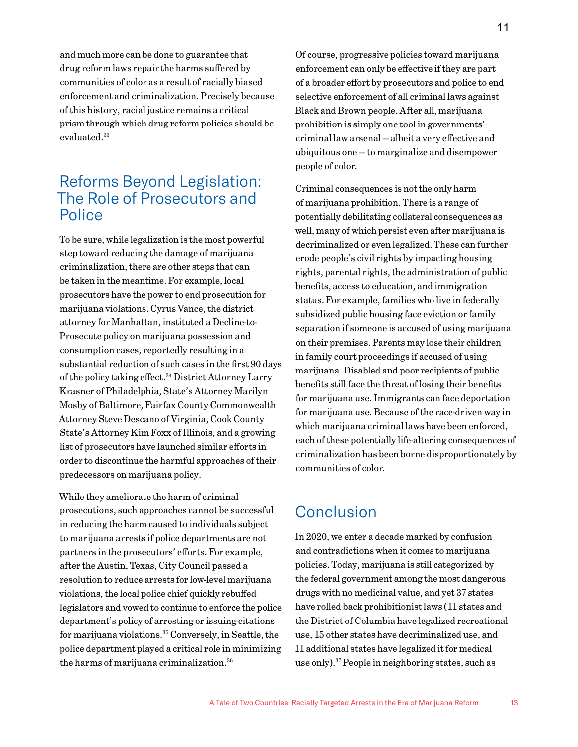and much more can be done to guarantee that drug reform laws repair the harms suffered by communities of color as a result of racially biased enforcement and criminalization. Precisely because of this history, racial justice remains a critical prism through which drug reform policies should be evaluated.33

## Reforms Beyond Legislation: The Role of Prosecutors and Police

To be sure, while legalization is the most powerful step toward reducing the damage of marijuana criminalization, there are other steps that can be taken in the meantime. For example, local prosecutors have the power to end prosecution for marijuana violations. Cyrus Vance, the district attorney for Manhattan, instituted a Decline-to-Prosecute policy on marijuana possession and consumption cases, reportedly resulting in a substantial reduction of such cases in the first 90 days of the policy taking effect.<sup>34</sup> District Attorney Larry Krasner of Philadelphia, State's Attorney Marilyn Mosby of Baltimore, Fairfax County Commonwealth Attorney Steve Descano of Virginia, Cook County State's Attorney Kim Foxx of Illinois, and a growing list of prosecutors have launched similar efforts in order to discontinue the harmful approaches of their predecessors on marijuana policy.

While they ameliorate the harm of criminal prosecutions, such approaches cannot be successful in reducing the harm caused to individuals subject to marijuana arrests if police departments are not partners in the prosecutors' efforts. For example, after the Austin, Texas, City Council passed a resolution to reduce arrests for low-level marijuana violations, the local police chief quickly rebuffed legislators and vowed to continue to enforce the police department's policy of arresting or issuing citations for marijuana violations.35 Conversely, in Seattle, the police department played a critical role in minimizing the harms of marijuana criminalization.<sup>36</sup>

Of course, progressive policies toward marijuana enforcement can only be effective if they are part of a broader effort by prosecutors and police to end selective enforcement of all criminal laws against Black and Brown people. After all, marijuana prohibition is simply one tool in governments' criminal law arsenal — albeit a very effective and ubiquitous one — to marginalize and disempower people of color.

Criminal consequences is not the only harm of marijuana prohibition. There is a range of potentially debilitating collateral consequences as well, many of which persist even after marijuana is decriminalized or even legalized. These can further erode people's civil rights by impacting housing rights, parental rights, the administration of public benefits, access to education, and immigration status. For example, families who live in federally subsidized public housing face eviction or family separation if someone is accused of using marijuana on their premises. Parents may lose their children in family court proceedings if accused of using marijuana. Disabled and poor recipients of public benefits still face the threat of losing their benefits for marijuana use. Immigrants can face deportation for marijuana use. Because of the race-driven way in which marijuana criminal laws have been enforced, each of these potentially life-altering consequences of criminalization has been borne disproportionately by communities of color.

## **Conclusion**

In 2020, we enter a decade marked by confusion and contradictions when it comes to marijuana policies. Today, marijuana is still categorized by the federal government among the most dangerous drugs with no medicinal value, and yet 37 states have rolled back prohibitionist laws (11 states and the District of Columbia have legalized recreational use, 15 other states have decriminalized use, and 11 additional states have legalized it for medical use only).37 People in neighboring states, such as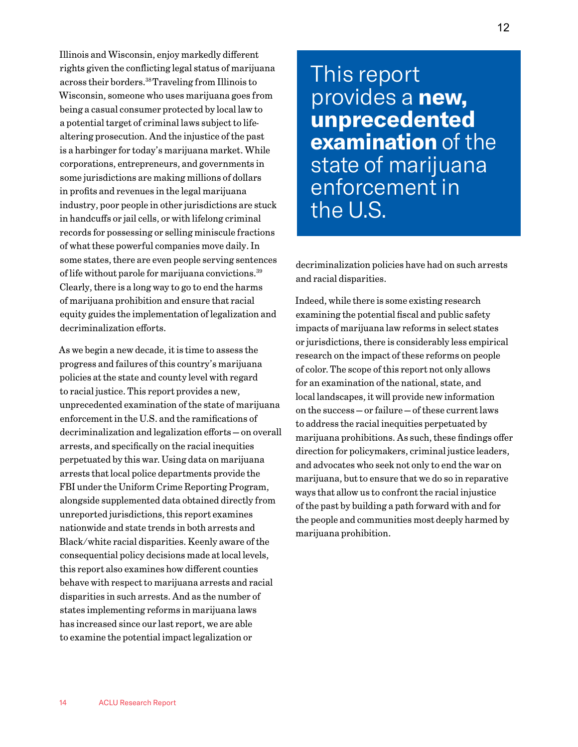Illinois and Wisconsin, enjoy markedly different rights given the conflicting legal status of marijuana across their borders.38 Traveling from Illinois to Wisconsin, someone who uses marijuana goes from being a casual consumer protected by local law to a potential target of criminal laws subject to lifealtering prosecution. And the injustice of the past is a harbinger for today's marijuana market. While corporations, entrepreneurs, and governments in some jurisdictions are making millions of dollars in profits and revenues in the legal marijuana industry, poor people in other jurisdictions are stuck in handcuffs or jail cells, or with lifelong criminal records for possessing or selling miniscule fractions of what these powerful companies move daily. In some states, there are even people serving sentences of life without parole for marijuana convictions.39 Clearly, there is a long way to go to end the harms of marijuana prohibition and ensure that racial equity guides the implementation of legalization and decriminalization efforts.

As we begin a new decade, it is time to assess the progress and failures of this country's marijuana policies at the state and county level with regard to racial justice. This report provides a new, unprecedented examination of the state of marijuana enforcement in the U.S. and the ramifications of decriminalization and legalization efforts — on overall arrests, and specifically on the racial inequities perpetuated by this war. Using data on marijuana arrests that local police departments provide the FBI under the Uniform Crime Reporting Program, alongside supplemented data obtained directly from unreported jurisdictions, this report examines nationwide and state trends in both arrests and Black/white racial disparities. Keenly aware of the consequential policy decisions made at local levels, this report also examines how different counties behave with respect to marijuana arrests and racial disparities in such arrests. And as the number of states implementing reforms in marijuana laws has increased since our last report, we are able to examine the potential impact legalization or

This report provides a **new, unprecedented examination** of the state of marijuana enforcement in the U.S.

decriminalization policies have had on such arrests and racial disparities.

Indeed, while there is some existing research examining the potential fiscal and public safety impacts of marijuana law reforms in select states or jurisdictions, there is considerably less empirical research on the impact of these reforms on people of color. The scope of this report not only allows for an examination of the national, state, and local landscapes, it will provide new information on the success — or failure — of these current laws to address the racial inequities perpetuated by marijuana prohibitions. As such, these findings offer direction for policymakers, criminal justice leaders, and advocates who seek not only to end the war on marijuana, but to ensure that we do so in reparative ways that allow us to confront the racial injustice of the past by building a path forward with and for the people and communities most deeply harmed by marijuana prohibition.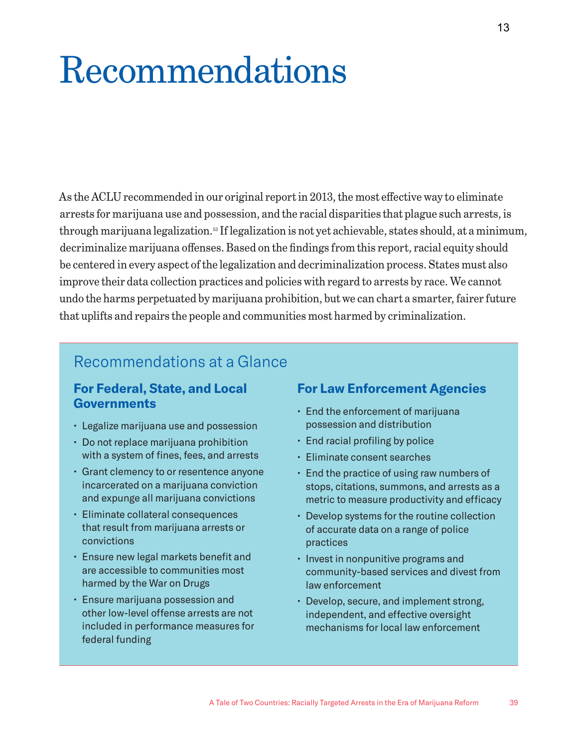# Recommendations

As the ACLU recommended in our original report in 2013, the most effective way to eliminate arrests for marijuana use and possession, and the racial disparities that plague such arrests, is through marijuana legalization.53 If legalization is not yet achievable, states should, at a minimum, decriminalize marijuana offenses. Based on the findings from this report, racial equity should be centered in every aspect of the legalization and decriminalization process. States must also improve their data collection practices and policies with regard to arrests by race. We cannot undo the harms perpetuated by marijuana prohibition, but we can chart a smarter, fairer future that uplifts and repairs the people and communities most harmed by criminalization.

# Recommendations at a Glance

## **For Federal, State, and Local Governments**

- Legalize marijuana use and possession
- Do not replace marijuana prohibition with a system of fines, fees, and arrests
- Grant clemency to or resentence anyone incarcerated on a marijuana conviction and expunge all marijuana convictions
- Eliminate collateral consequences that result from marijuana arrests or convictions
- Ensure new legal markets benefit and are accessible to communities most harmed by the War on Drugs
- Ensure marijuana possession and other low-level offense arrests are not included in performance measures for federal funding

## **For Law Enforcement Agencies**

- End the enforcement of marijuana possession and distribution
- End racial profiling by police
- Eliminate consent searches
- End the practice of using raw numbers of stops, citations, summons, and arrests as a metric to measure productivity and efficacy
- Develop systems for the routine collection of accurate data on a range of police practices
- Invest in nonpunitive programs and community-based services and divest from law enforcement
- Develop, secure, and implement strong, independent, and effective oversight mechanisms for local law enforcement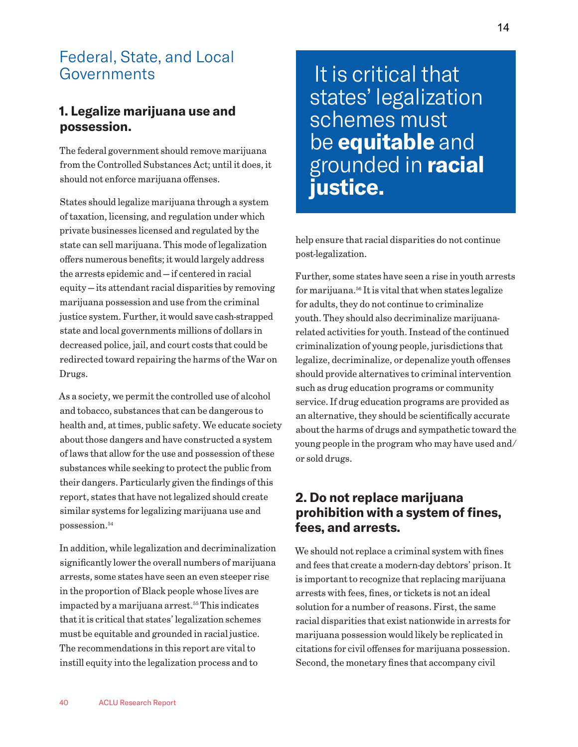# Federal, State, and Local **Governments**

## **1. Legalize marijuana use and possession.**

The federal government should remove marijuana from the Controlled Substances Act; until it does, it should not enforce marijuana offenses.

States should legalize marijuana through a system of taxation, licensing, and regulation under which private businesses licensed and regulated by the state can sell marijuana. This mode of legalization offers numerous benefits; it would largely address the arrests epidemic and — if centered in racial equity — its attendant racial disparities by removing marijuana possession and use from the criminal justice system. Further, it would save cash-strapped state and local governments millions of dollars in decreased police, jail, and court costs that could be redirected toward repairing the harms of the War on Drugs.

As a society, we permit the controlled use of alcohol and tobacco, substances that can be dangerous to health and, at times, public safety. We educate society about those dangers and have constructed a system of laws that allow for the use and possession of these substances while seeking to protect the public from their dangers. Particularly given the findings of this report, states that have not legalized should create similar systems for legalizing marijuana use and possession.<sup>54</sup>

In addition, while legalization and decriminalization significantly lower the overall numbers of marijuana arrests, some states have seen an even steeper rise in the proportion of Black people whose lives are impacted by a marijuana arrest.<sup>55</sup> This indicates that it is critical that states' legalization schemes must be equitable and grounded in racial justice. The recommendations in this report are vital to instill equity into the legalization process and to

 It is critical that states' legalization schemes must be **equitable** and grounded in **racial justice.**

help ensure that racial disparities do not continue post-legalization.

Further, some states have seen a rise in youth arrests for marijuana.56 It is vital that when states legalize for adults, they do not continue to criminalize youth. They should also decriminalize marijuanarelated activities for youth. Instead of the continued criminalization of young people, jurisdictions that legalize, decriminalize, or depenalize youth offenses should provide alternatives to criminal intervention such as drug education programs or community service. If drug education programs are provided as an alternative, they should be scientifically accurate about the harms of drugs and sympathetic toward the young people in the program who may have used and/ or sold drugs.

## **2. Do not replace marijuana prohibition with a system of fines, fees, and arrests.**

We should not replace a criminal system with fines and fees that create a modern-day debtors' prison. It is important to recognize that replacing marijuana arrests with fees, fines, or tickets is not an ideal solution for a number of reasons. First, the same racial disparities that exist nationwide in arrests for marijuana possession would likely be replicated in citations for civil offenses for marijuana possession. Second, the monetary fines that accompany civil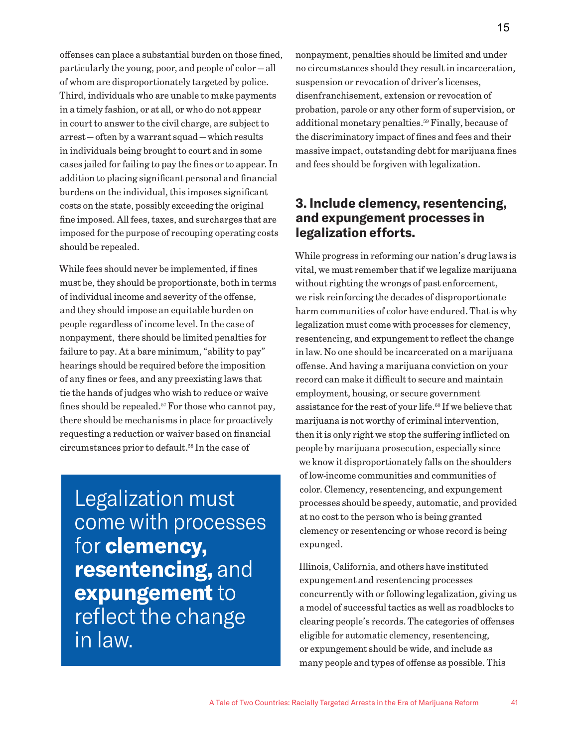offenses can place a substantial burden on those fined, particularly the young, poor, and people of color — all of whom are disproportionately targeted by police. Third, individuals who are unable to make payments in a timely fashion, or at all, or who do not appear in court to answer to the civil charge, are subject to arrest — often by a warrant squad — which results in individuals being brought to court and in some cases jailed for failing to pay the fines or to appear. In addition to placing significant personal and financial burdens on the individual, this imposes significant costs on the state, possibly exceeding the original fine imposed. All fees, taxes, and surcharges that are imposed for the purpose of recouping operating costs should be repealed.

While fees should never be implemented, if fines must be, they should be proportionate, both in terms of individual income and severity of the offense, and they should impose an equitable burden on people regardless of income level. In the case of nonpayment, there should be limited penalties for failure to pay. At a bare minimum, "ability to pay" hearings should be required before the imposition of any fines or fees, and any preexisting laws that tie the hands of judges who wish to reduce or waive fines should be repealed.<sup>57</sup> For those who cannot pay, there should be mechanisms in place for proactively requesting a reduction or waiver based on financial circumstances prior to default.58 In the case of

Legalization must come with processes for **clemency, resentencing,** and **expungement** to reflect the change in law.

nonpayment, penalties should be limited and under no circumstances should they result in incarceration, suspension or revocation of driver's licenses, disenfranchisement, extension or revocation of probation, parole or any other form of supervision, or additional monetary penalties.59 Finally, because of the discriminatory impact of fines and fees and their massive impact, outstanding debt for marijuana fines and fees should be forgiven with legalization.

## **3. Include clemency, resentencing, and expungement processes in legalization efforts.**

While progress in reforming our nation's drug laws is vital, we must remember that if we legalize marijuana without righting the wrongs of past enforcement, we risk reinforcing the decades of disproportionate harm communities of color have endured. That is why legalization must come with processes for clemency, resentencing, and expungement to reflect the change in law. No one should be incarcerated on a marijuana offense. And having a marijuana conviction on your record can make it difficult to secure and maintain employment, housing, or secure government assistance for the rest of your life.<sup>60</sup> If we believe that marijuana is not worthy of criminal intervention, then it is only right we stop the suffering inflicted on people by marijuana prosecution, especially since we know it disproportionately falls on the shoulders of low-income communities and communities of color. Clemency, resentencing, and expungement processes should be speedy, automatic, and provided at no cost to the person who is being granted clemency or resentencing or whose record is being expunged.

Illinois, California, and others have instituted expungement and resentencing processes concurrently with or following legalization, giving us a model of successful tactics as well as roadblocks to clearing people's records. The categories of offenses eligible for automatic clemency, resentencing, or expungement should be wide, and include as many people and types of offense as possible. This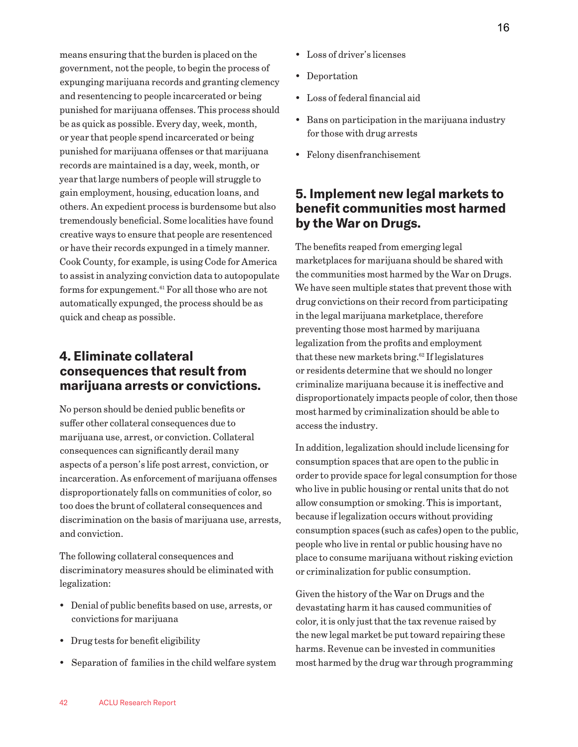means ensuring that the burden is placed on the government, not the people, to begin the process of expunging marijuana records and granting clemency and resentencing to people incarcerated or being punished for marijuana offenses. This process should be as quick as possible. Every day, week, month, or year that people spend incarcerated or being punished for marijuana offenses or that marijuana records are maintained is a day, week, month, or year that large numbers of people will struggle to gain employment, housing, education loans, and others. An expedient process is burdensome but also tremendously beneficial. Some localities have found creative ways to ensure that people are resentenced or have their records expunged in a timely manner. Cook County, for example, is using Code for America to assist in analyzing conviction data to autopopulate forms for expungement.61 For all those who are not automatically expunged, the process should be as quick and cheap as possible.

## **4. Eliminate collateral consequences that result from marijuana arrests or convictions.**

No person should be denied public benefits or suffer other collateral consequences due to marijuana use, arrest, or conviction. Collateral consequences can significantly derail many aspects of a person's life post arrest, conviction, or incarceration. As enforcement of marijuana offenses disproportionately falls on communities of color, so too does the brunt of collateral consequences and discrimination on the basis of marijuana use, arrests, and conviction.

The following collateral consequences and discriminatory measures should be eliminated with legalization:

- Denial of public benefits based on use, arrests, or convictions for marijuana
- Drug tests for benefit eligibility
- Separation of families in the child welfare system
- Loss of driver's licenses
- Deportation
- Loss of federal financial aid
- Bans on participation in the marijuana industry for those with drug arrests
- Felony disenfranchisement

## **5. Implement new legal markets to benefit communities most harmed by the War on Drugs.**

The benefits reaped from emerging legal marketplaces for marijuana should be shared with the communities most harmed by the War on Drugs. We have seen multiple states that prevent those with drug convictions on their record from participating in the legal marijuana marketplace, therefore preventing those most harmed by marijuana legalization from the profits and employment that these new markets bring.<sup>62</sup> If legislatures or residents determine that we should no longer criminalize marijuana because it is ineffective and disproportionately impacts people of color, then those most harmed by criminalization should be able to access the industry.

In addition, legalization should include licensing for consumption spaces that are open to the public in order to provide space for legal consumption for those who live in public housing or rental units that do not allow consumption or smoking. This is important, because if legalization occurs without providing consumption spaces (such as cafes) open to the public, people who live in rental or public housing have no place to consume marijuana without risking eviction or criminalization for public consumption.

Given the history of the War on Drugs and the devastating harm it has caused communities of color, it is only just that the tax revenue raised by the new legal market be put toward repairing these harms. Revenue can be invested in communities most harmed by the drug war through programming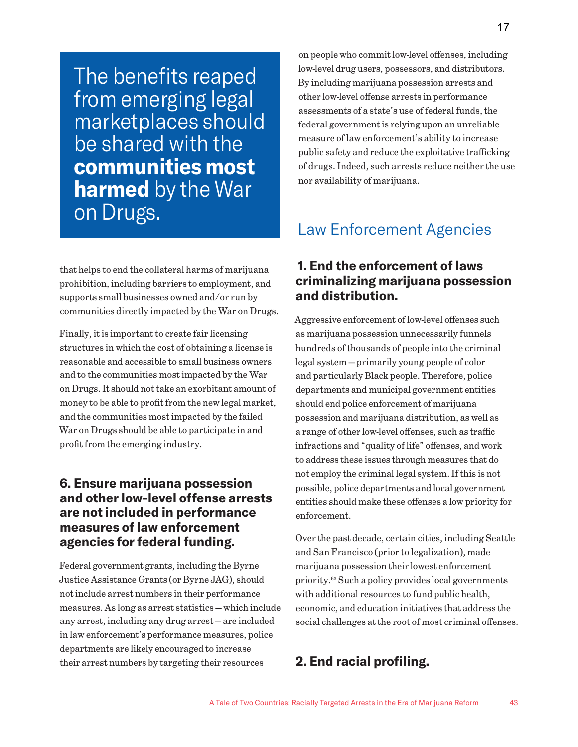The benefits reaped from emerging legal marketplaces should be shared with the **communities most harmed** by the War on Drugs.

that helps to end the collateral harms of marijuana prohibition, including barriers to employment, and supports small businesses owned and/or run by communities directly impacted by the War on Drugs.

Finally, it is important to create fair licensing structures in which the cost of obtaining a license is reasonable and accessible to small business owners and to the communities most impacted by the War on Drugs. It should not take an exorbitant amount of money to be able to profit from the new legal market, and the communities most impacted by the failed War on Drugs should be able to participate in and profit from the emerging industry.

## **6. Ensure marijuana possession and other low-level offense arrests are not included in performance measures of law enforcement agencies for federal funding.**

Federal government grants, including the Byrne Justice Assistance Grants (or Byrne JAG), should not include arrest numbers in their performance measures. As long as arrest statistics — which include any arrest, including any drug arrest — are included in law enforcement's performance measures, police departments are likely encouraged to increase their arrest numbers by targeting their resources

on people who commit low-level offenses, including low-level drug users, possessors, and distributors. By including marijuana possession arrests and other low-level offense arrests in performance assessments of a state's use of federal funds, the federal government is relying upon an unreliable measure of law enforcement's ability to increase public safety and reduce the exploitative trafficking of drugs. Indeed, such arrests reduce neither the use nor availability of marijuana.

# Law Enforcement Agencies

## **1. End the enforcement of laws criminalizing marijuana possession and distribution.**

Aggressive enforcement of low-level offenses such as marijuana possession unnecessarily funnels hundreds of thousands of people into the criminal legal system — primarily young people of color and particularly Black people. Therefore, police departments and municipal government entities should end police enforcement of marijuana possession and marijuana distribution, as well as a range of other low-level offenses, such as traffic infractions and "quality of life" offenses, and work to address these issues through measures that do not employ the criminal legal system. If this is not possible, police departments and local government entities should make these offenses a low priority for enforcement.

Over the past decade, certain cities, including Seattle and San Francisco (prior to legalization), made marijuana possession their lowest enforcement priority.63 Such a policy provides local governments with additional resources to fund public health, economic, and education initiatives that address the social challenges at the root of most criminal offenses.

## **2. End racial profiling.**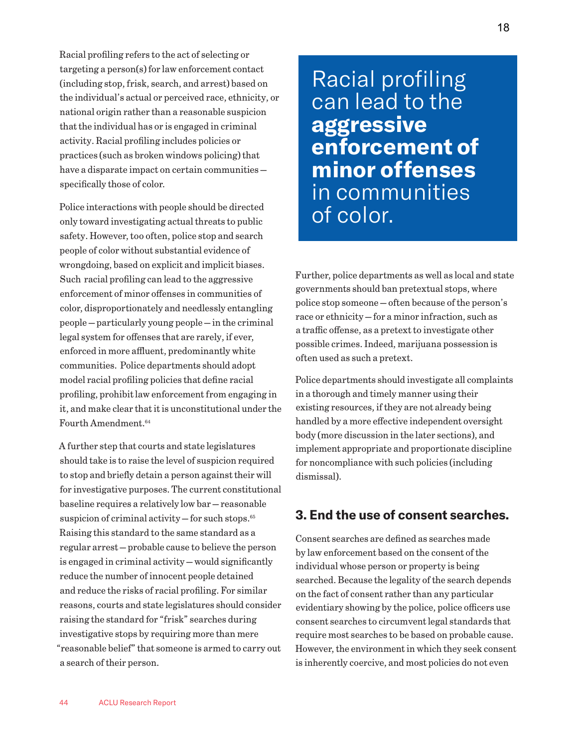Racial profiling refers to the act of selecting or targeting a person(s) for law enforcement contact (including stop, frisk, search, and arrest) based on the individual's actual or perceived race, ethnicity, or national origin rather than a reasonable suspicion that the individual has or is engaged in criminal activity. Racial profiling includes policies or practices (such as broken windows policing) that have a disparate impact on certain communities specifically those of color.

Police interactions with people should be directed only toward investigating actual threats to public safety. However, too often, police stop and search people of color without substantial evidence of wrongdoing, based on explicit and implicit biases. Such racial profiling can lead to the aggressive enforcement of minor offenses in communities of color, disproportionately and needlessly entangling people — particularly young people — in the criminal legal system for offenses that are rarely, if ever, enforced in more affluent, predominantly white communities. Police departments should adopt model racial profiling policies that define racial profiling, prohibit law enforcement from engaging in it, and make clear that it is unconstitutional under the Fourth Amendment.64

A further step that courts and state legislatures should take is to raise the level of suspicion required to stop and briefly detain a person against their will for investigative purposes. The current constitutional baseline requires a relatively low bar — reasonable suspicion of criminal activity - for such stops.<sup>65</sup> Raising this standard to the same standard as a regular arrest — probable cause to believe the person is engaged in criminal activity — would significantly reduce the number of innocent people detained and reduce the risks of racial profiling. For similar reasons, courts and state legislatures should consider raising the standard for "frisk" searches during investigative stops by requiring more than mere "reasonable belief" that someone is armed to carry out a search of their person.

Racial profiling can lead to the **aggressive enforcement of minor offenses** in communities of color.

Further, police departments as well as local and state governments should ban pretextual stops, where police stop someone — often because of the person's race or ethnicity — for a minor infraction, such as a traffic offense, as a pretext to investigate other possible crimes. Indeed, marijuana possession is often used as such a pretext.

Police departments should investigate all complaints in a thorough and timely manner using their existing resources, if they are not already being handled by a more effective independent oversight body (more discussion in the later sections), and implement appropriate and proportionate discipline for noncompliance with such policies (including dismissal).

## **3. End the use of consent searches.**

Consent searches are defined as searches made by law enforcement based on the consent of the individual whose person or property is being searched. Because the legality of the search depends on the fact of consent rather than any particular evidentiary showing by the police, police officers use consent searches to circumvent legal standards that require most searches to be based on probable cause. However, the environment in which they seek consent is inherently coercive, and most policies do not even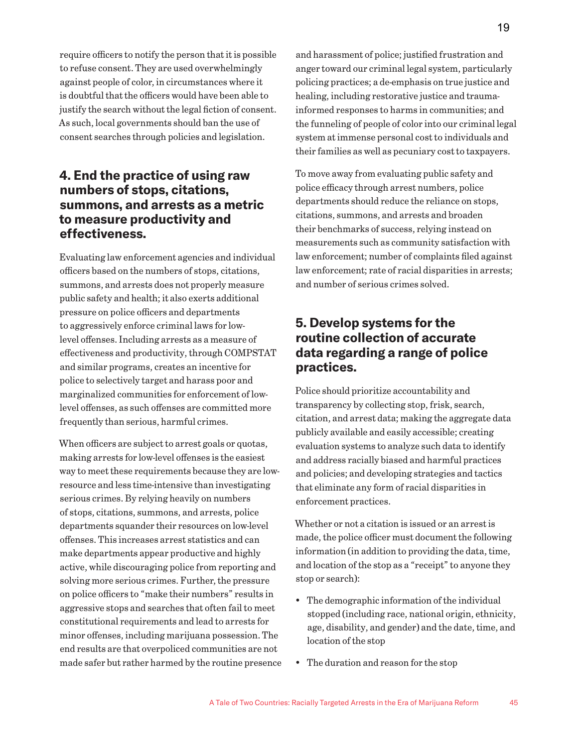require officers to notify the person that it is possible to refuse consent. They are used overwhelmingly against people of color, in circumstances where it is doubtful that the officers would have been able to justify the search without the legal fiction of consent. As such, local governments should ban the use of consent searches through policies and legislation.

## **4. End the practice of using raw numbers of stops, citations, summons, and arrests as a metric to measure productivity and effectiveness.**

Evaluating law enforcement agencies and individual officers based on the numbers of stops, citations, summons, and arrests does not properly measure public safety and health; it also exerts additional pressure on police officers and departments to aggressively enforce criminal laws for lowlevel offenses. Including arrests as a measure of effectiveness and productivity, through COMPSTAT and similar programs, creates an incentive for police to selectively target and harass poor and marginalized communities for enforcement of lowlevel offenses, as such offenses are committed more frequently than serious, harmful crimes.

When officers are subject to arrest goals or quotas, making arrests for low-level offenses is the easiest way to meet these requirements because they are lowresource and less time-intensive than investigating serious crimes. By relying heavily on numbers of stops, citations, summons, and arrests, police departments squander their resources on low-level offenses. This increases arrest statistics and can make departments appear productive and highly active, while discouraging police from reporting and solving more serious crimes. Further, the pressure on police officers to "make their numbers" results in aggressive stops and searches that often fail to meet constitutional requirements and lead to arrests for minor offenses, including marijuana possession. The end results are that overpoliced communities are not made safer but rather harmed by the routine presence and harassment of police; justified frustration and anger toward our criminal legal system, particularly policing practices; a de-emphasis on true justice and healing, including restorative justice and traumainformed responses to harms in communities; and the funneling of people of color into our criminal legal system at immense personal cost to individuals and their families as well as pecuniary cost to taxpayers.

To move away from evaluating public safety and police efficacy through arrest numbers, police departments should reduce the reliance on stops, citations, summons, and arrests and broaden their benchmarks of success, relying instead on measurements such as community satisfaction with law enforcement; number of complaints filed against law enforcement; rate of racial disparities in arrests; and number of serious crimes solved.

## **5. Develop systems for the routine collection of accurate data regarding a range of police practices.**

Police should prioritize accountability and transparency by collecting stop, frisk, search, citation, and arrest data; making the aggregate data publicly available and easily accessible; creating evaluation systems to analyze such data to identify and address racially biased and harmful practices and policies; and developing strategies and tactics that eliminate any form of racial disparities in enforcement practices.

Whether or not a citation is issued or an arrest is made, the police officer must document the following information (in addition to providing the data, time, and location of the stop as a "receipt" to anyone they stop or search):

- The demographic information of the individual stopped (including race, national origin, ethnicity, age, disability, and gender) and the date, time, and location of the stop
- The duration and reason for the stop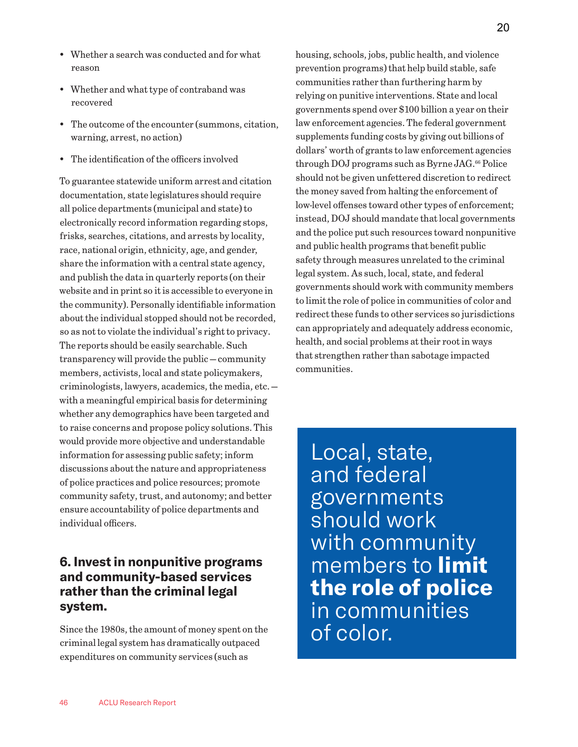- Whether a search was conducted and for what reason
- Whether and what type of contraband was recovered
- The outcome of the encounter (summons, citation, warning, arrest, no action)
- The identification of the officers involved

To guarantee statewide uniform arrest and citation documentation, state legislatures should require all police departments (municipal and state) to electronically record information regarding stops, frisks, searches, citations, and arrests by locality, race, national origin, ethnicity, age, and gender, share the information with a central state agency, and publish the data in quarterly reports (on their website and in print so it is accessible to everyone in the community). Personally identifiable information about the individual stopped should not be recorded, so as not to violate the individual's right to privacy. The reports should be easily searchable. Such transparency will provide the public — community members, activists, local and state policymakers, criminologists, lawyers, academics, the media, etc. with a meaningful empirical basis for determining whether any demographics have been targeted and to raise concerns and propose policy solutions. This would provide more objective and understandable information for assessing public safety; inform discussions about the nature and appropriateness of police practices and police resources; promote community safety, trust, and autonomy; and better ensure accountability of police departments and individual officers.

## **6. Invest in nonpunitive programs and community-based services rather than the criminal legal system.**

Since the 1980s, the amount of money spent on the criminal legal system has dramatically outpaced expenditures on community services (such as

housing, schools, jobs, public health, and violence prevention programs) that help build stable, safe communities rather than furthering harm by relying on punitive interventions. State and local governments spend over \$100 billion a year on their law enforcement agencies. The federal government supplements funding costs by giving out billions of dollars' worth of grants to law enforcement agencies through DOJ programs such as Byrne JAG.<sup>66</sup> Police should not be given unfettered discretion to redirect the money saved from halting the enforcement of low-level offenses toward other types of enforcement; instead, DOJ should mandate that local governments and the police put such resources toward nonpunitive and public health programs that benefit public safety through measures unrelated to the criminal legal system. As such, local, state, and federal governments should work with community members to limit the role of police in communities of color and redirect these funds to other services so jurisdictions can appropriately and adequately address economic, health, and social problems at their root in ways that strengthen rather than sabotage impacted communities.

Local, state, and federal governments should work with community members to **limit the role of police** in communities of color.